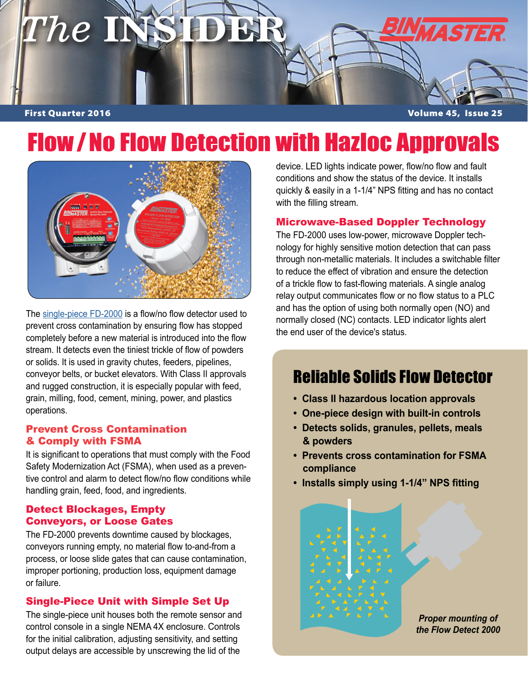

# Flow / No Flow Detection with Hazloc Approvals



The [single-piece FD-2000](http://www.binmaster.com/products/info/50-flow-detect/5064-single-piece-flow-detector) is a flow/no flow detector used to prevent cross contamination by ensuring flow has stopped completely before a new material is introduced into the flow stream. It detects even the tiniest trickle of flow of powders or solids. It is used in gravity chutes, feeders, pipelines, conveyor belts, or bucket elevators. With Class II approvals and rugged construction, it is especially popular with feed, grain, milling, food, cement, mining, power, and plastics operations.

#### Prevent Cross Contamination & Comply with FSMA

It is significant to operations that must comply with the Food Safety Modernization Act (FSMA), when used as a preventive control and alarm to detect flow/no flow conditions while handling grain, feed, food, and ingredients.

#### Detect Blockages, Empty Conveyors, or Loose Gates

The FD-2000 prevents downtime caused by blockages, conveyors running empty, no material flow to-and-from a process, or loose slide gates that can cause contamination, improper portioning, production loss, equipment damage or failure.

#### Single-Piece Unit with Simple Set Up

The single-piece unit houses both the remote sensor and control console in a single NEMA 4X enclosure. Controls for the initial calibration, adjusting sensitivity, and setting output delays are accessible by unscrewing the lid of the

device. LED lights indicate power, flow/no flow and fault conditions and show the status of the device. It installs quickly & easily in a 1-1/4" NPS fitting and has no contact with the filling stream.

#### Microwave-Based Doppler Technology

The FD-2000 uses low-power, microwave Doppler technology for highly sensitive motion detection that can pass through non-metallic materials. It includes a switchable filter to reduce the effect of vibration and ensure the detection of a trickle flow to fast-flowing materials. A single analog relay output communicates flow or no flow status to a PLC and has the option of using both normally open (NO) and normally closed (NC) contacts. LED indicator lights alert the end user of the device's status.

### Reliable Solids Flow Detector

- **Class II hazardous location approvals**
- **One-piece design with built-in controls**
- **Detects solids, granules, pellets, meals & powders**
- **Prevents cross contamination for FSMA compliance**
- **Installs simply using 1-1/4" NPS fitting**



 *Proper mounting of the Flow Detect 2000*